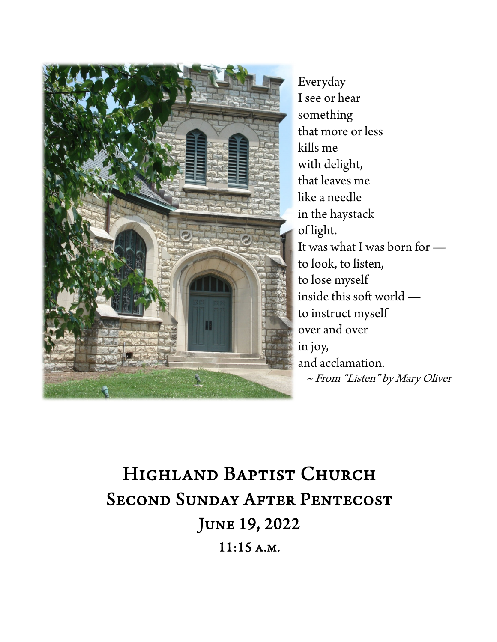

Everyday I see or hear something that more or less kills me with delight, that leaves me like a needle in the haystack of light. It was what I was born for to look, to listen, to lose myself inside this soft world to instruct myself over and over in joy, and acclamation. ~ From "Listen" by Mary Oliver

# Highland Baptist Church Second Sunday After Pentecost June 19, 2022 11:15 a.m.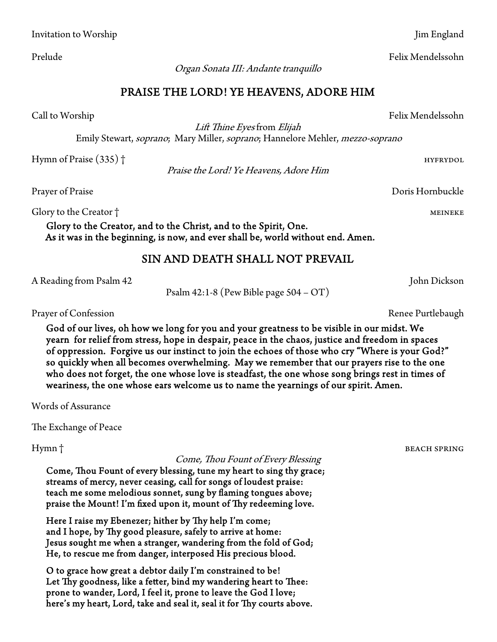Organ Sonata III: Andante tranquillo

### PRAISE THE LORD! YE HEAVENS, ADORE HIM

Lift Thine Eyes from Elijah

Emily Stewart, soprano; Mary Miller, soprano; Hannelore Mehler, mezzo-soprano

Hymn of Praise (335)  $\dagger$ 

Praise the Lord! Ye Heavens, Adore Him

Prayer of Praise Doris Hornbuckle

Glory to the Creator † metals and the control of the control of the control of the control of the control of the control of the control of the control of the control of the control of the control of the control of the cont

Glory to the Creator, and to the Christ, and to the Spirit, One. As it was in the beginning, is now, and ever shall be, world without end. Amen.

#### SIN AND DEATH SHALL NOT PREVAIL

A Reading from Psalm 42 John Dickson

Psalm 42:1-8 (Pew Bible page 504 – OT)

Prayer of Confession **Renee Purtlebaugh** 

God of our lives, oh how we long for you and your greatness to be visible in our midst. We yearn for relief from stress, hope in despair, peace in the chaos, justice and freedom in spaces of oppression. Forgive us our instinct to join the echoes of those who cry "Where is your God?" so quickly when all becomes overwhelming. May we remember that our prayers rise to the one who does not forget, the one whose love is steadfast, the one whose song brings rest in times of weariness, the one whose ears welcome us to name the yearnings of our spirit. Amen.

Words of Assurance

The Exchange of Peace

Hymn † beach spring beach spring beach spring beach spring beach spring beach spring beach spring beach spring

#### Come, Thou Fount of Every Blessing

Come, Thou Fount of every blessing, tune my heart to sing thy grace; streams of mercy, never ceasing, call for songs of loudest praise: teach me some melodious sonnet, sung by flaming tongues above; praise the Mount! I'm fixed upon it, mount of Thy redeeming love.

Here I raise my Ebenezer; hither by Thy help I'm come; and I hope, by Thy good pleasure, safely to arrive at home: Jesus sought me when a stranger, wandering from the fold of God; He, to rescue me from danger, interposed His precious blood.

O to grace how great a debtor daily I'm constrained to be! Let Thy goodness, like a fetter, bind my wandering heart to Thee: prone to wander, Lord, I feel it, prone to leave the God I love; here's my heart, Lord, take and seal it, seal it for Thy courts above.

Call to Worship Felix Mendelssohn

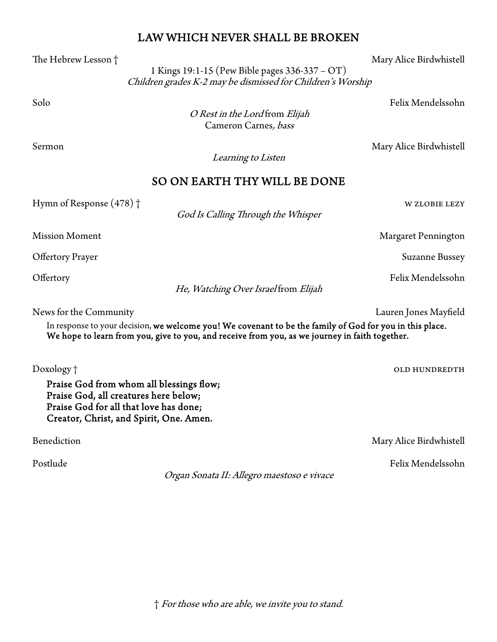## LAW WHICH NEVER SHALL BE BROKEN

The Hebrew Lesson † Mary Alice Birdwhistell

 1 Kings 19:1-15 (Pew Bible pages 336-337 – OT) Children grades K-2 may be dismissed for Children's Worship

Solo Felix Mendelssohn

O Rest in the Lord from Elijah Cameron Carnes, bass

Sermon Mary Alice Birdwhistell

Learning to Listen

#### SO ON EARTH THY WILL BE DONE

Hymn of Response (478) † w zlobie lezy

God Is Calling Through the Whisper

Mission Moment **Margaret Pennington** 

Offertory Prayer Suzanne Bussey

Offertory Felix Mendelssohn

He, Watching Over Israel from Elijah

News for the Community Lauren Jones Mayfield

In response to your decision, we welcome you! We covenant to be the family of God for you in this place. We hope to learn from you, give to you, and receive from you, as we journey in faith together.

Doxology † old hundredthe state of the state of the state of the state of the state of the state of the state of the state of the state of the state of the state of the state of the state of the state of the state of the s

Praise God from whom all blessings flow; Praise God, all creatures here below; Praise God for all that love has done; Creator, Christ, and Spirit, One. Amen.

Benediction Mary Alice Birdwhistell

Postlude Felix Mendelssohn

Organ Sonata II: Allegro maestoso e vivace